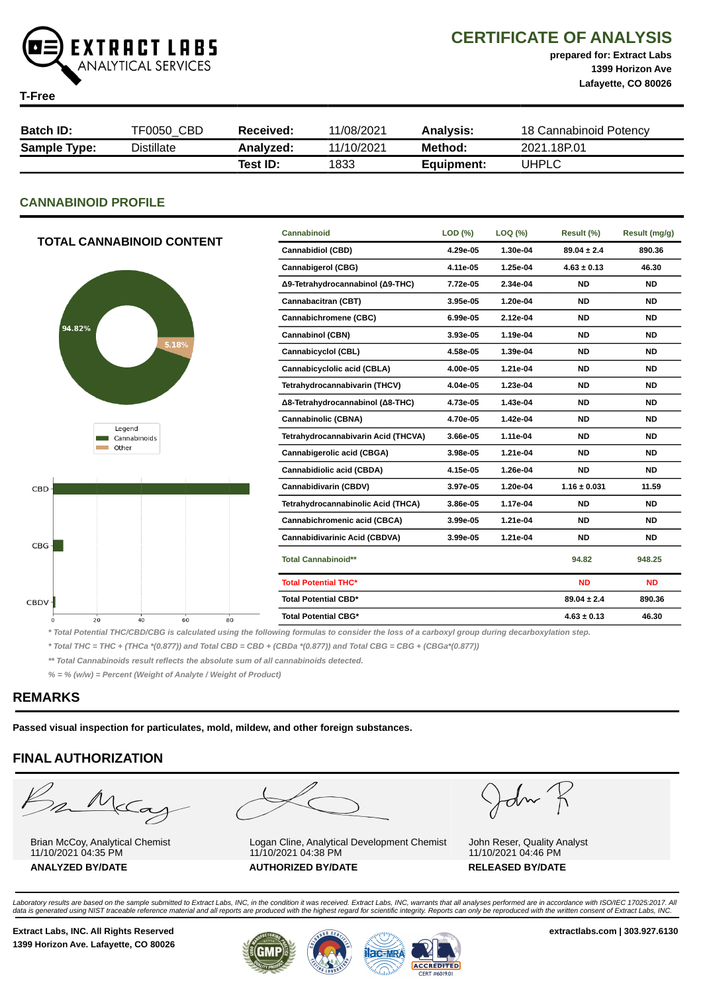

CERTIFICATE OF ANALYSIS

prepared for: Extract Labs 1399 Horizon Ave Lafayette, CO 80026

**T-Fre** 

| ∎-⊢ree              |            |                  |            |                  |                        |  |
|---------------------|------------|------------------|------------|------------------|------------------------|--|
|                     |            |                  |            |                  |                        |  |
| <b>Batch ID:</b>    | TF0050 CBD | <b>Received:</b> | 11/08/2021 | <b>Analysis:</b> | 18 Cannabinoid Potency |  |
| <b>Sample Type:</b> | Distillate | Analyzed:        | 11/10/2021 | Method:          | 2021.18P.01            |  |
|                     |            | Test ID:         | 1833       | Equipment:       | <b>UHPLC</b>           |  |

#### CANNABINOID PROFILE

| TOTAL CANNABINOID CONTENT | Cannabinoid                          | LOD (%)  | LOQ (%)  | Result (%)       | Result (mg/g) |
|---------------------------|--------------------------------------|----------|----------|------------------|---------------|
|                           | <b>Cannabidiol (CBD)</b>             | 4.29e-05 | 1.30e-04 | $89.04 \pm 2.4$  | 890.36        |
|                           | <b>Cannabigerol (CBG)</b>            | 4.11e-05 | 1.25e-04 | $4.63 \pm 0.13$  | 46.30         |
|                           | Δ9-Tetrahydrocannabinol (Δ9-THC)     | 7.72e-05 | 2.34e-04 | <b>ND</b>        | <b>ND</b>     |
|                           | Cannabacitran (CBT)                  | 3.95e-05 | 1.20e-04 | <b>ND</b>        | <b>ND</b>     |
|                           | Cannabichromene (CBC)                | 6.99e-05 | 2.12e-04 | <b>ND</b>        | <b>ND</b>     |
| 94.82%                    | Cannabinol (CBN)                     | 3.93e-05 | 1.19e-04 | <b>ND</b>        | <b>ND</b>     |
| 5.18%                     | Cannabicyclol (CBL)                  | 4.58e-05 | 1.39e-04 | <b>ND</b>        | <b>ND</b>     |
|                           | Cannabicyclolic acid (CBLA)          | 4.00e-05 | 1.21e-04 | <b>ND</b>        | <b>ND</b>     |
|                           | Tetrahydrocannabivarin (THCV)        | 4.04e-05 | 1.23e-04 | <b>ND</b>        | <b>ND</b>     |
|                           | Δ8-Tetrahydrocannabinol (Δ8-THC)     | 4.73e-05 | 1.43e-04 | <b>ND</b>        | <b>ND</b>     |
|                           | Cannabinolic (CBNA)                  | 4.70e-05 | 1.42e-04 | <b>ND</b>        | <b>ND</b>     |
| Legend<br>Cannabinoids    | Tetrahydrocannabivarin Acid (THCVA)  | 3.66e-05 | 1.11e-04 | <b>ND</b>        | <b>ND</b>     |
| Other                     | Cannabigerolic acid (CBGA)           | 3.98e-05 | 1.21e-04 | <b>ND</b>        | <b>ND</b>     |
|                           | Cannabidiolic acid (CBDA)            | 4.15e-05 | 1.26e-04 | <b>ND</b>        | <b>ND</b>     |
| $CBD -$                   | Cannabidivarin (CBDV)                | 3.97e-05 | 1.20e-04 | $1.16 \pm 0.031$ | 11.59         |
|                           | Tetrahydrocannabinolic Acid (THCA)   | 3.86e-05 | 1.17e-04 | <b>ND</b>        | <b>ND</b>     |
|                           | Cannabichromenic acid (CBCA)         | 3.99e-05 | 1.21e-04 | <b>ND</b>        | <b>ND</b>     |
| $CBG+$                    | <b>Cannabidivarinic Acid (CBDVA)</b> | 3.99e-05 | 1.21e-04 | <b>ND</b>        | <b>ND</b>     |
|                           | <b>Total Cannabinoid**</b>           |          |          | 94.82            | 948.25        |
|                           | <b>Total Potential THC*</b>          |          |          | <b>ND</b>        | <b>ND</b>     |
| CBDV-                     | <b>Total Potential CBD*</b>          |          |          | $89.04 \pm 2.4$  | 890.36        |
| 20<br>40<br>60<br>80<br>0 | <b>Total Potential CBG*</b>          |          |          | $4.63 \pm 0.13$  | 46.30         |

\* Total Potential THC/CBD/CBG is calculated using the following formulas to consider the loss of a carboxyl group during decarboxylation step.

\* Total THC = THC + (THCa \*(0.877)) and Total CBD = CBD + (CBDa \*(0.877)) and Total CBG = CBG + (CBGa\*(0.877))

\*\* Total Cannabinoids result reflects the absolute sum of all cannabinoids detected.

% = % (w/w) = Percent (Weight of Analyte / Weight of Product)

#### REMARKS

Passed visual inspection for particulates, mold, mildew, and other foreign substances.

## FINAL AUTHORIZATION

m McCa

Brian McCoy, Analytical Chemist 11/10/2021 04:35 PM ANALYZED BY/DATE AUTHORIZED BY/DATE AUTHORIZED BY/DATE



Logan Cline, Analytical Development Chemist 11/10/2021 04:38 PM

John K

John Reser, Quality Analyst 11/10/2021 04:46 PM

Laboratory results are based on the sample submitted to Extract Labs, INC, in the condition it was received. Extract Labs, INC, warrants that all analyses performed are in accordance with ISO/IEC 17025:2017. All<br>data is ge

Extract Labs, INC. All Rights Reserved **Extract Labs, INC. All Rights Reserved** extractlabs.com | 303.927.6130 1399 Horizon Ave. Lafayette, CO 80026



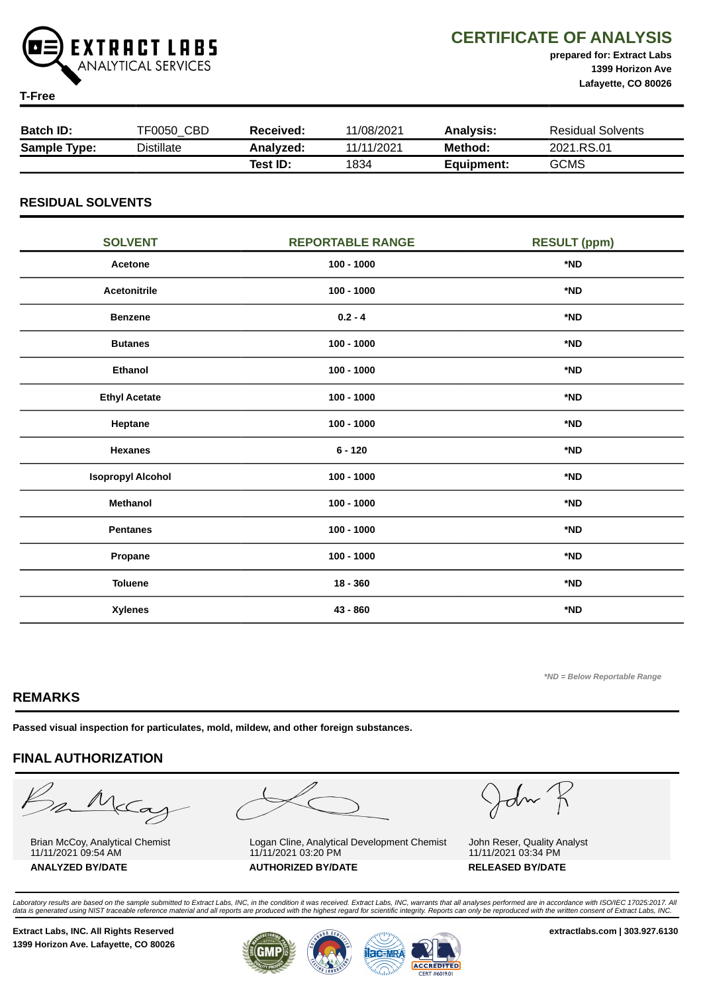

CERTIFICATE OF ANALYSIS

prepared for: Extract Labs 1399 Horizon Ave Lafayette, CO 80026

#### T-Free

| <b>Batch ID:</b>    | TF0050 CBD        | Received: | 11/08/2021 | Analvsis:  | <b>Residual Solvents</b> |
|---------------------|-------------------|-----------|------------|------------|--------------------------|
| <b>Sample Type:</b> | <b>Distillate</b> | Analyzed: | 11/11/2021 | Method:    | 2021.RS.01               |
|                     |                   | Test ID:  | 1834       | Equipment: | <b>GCMS</b>              |

#### RESIDUAL SOLVENTS

| <b>SOLVENT</b>           | <b>REPORTABLE RANGE</b> | <b>RESULT (ppm)</b> |
|--------------------------|-------------------------|---------------------|
| Acetone                  | $100 - 1000$            | *ND                 |
| <b>Acetonitrile</b>      | $100 - 1000$            | *ND                 |
| <b>Benzene</b>           | $0.2 - 4$               | *ND                 |
| <b>Butanes</b>           | $100 - 1000$            | *ND                 |
| <b>Ethanol</b>           | $100 - 1000$            | *ND                 |
| <b>Ethyl Acetate</b>     | $100 - 1000$            | *ND                 |
| Heptane                  | $100 - 1000$            | *ND                 |
| <b>Hexanes</b>           | $6 - 120$               | *ND                 |
| <b>Isopropyl Alcohol</b> | $100 - 1000$            | *ND                 |
| Methanol                 | $100 - 1000$            | *ND                 |
| <b>Pentanes</b>          | $100 - 1000$            | *ND                 |
| Propane                  | $100 - 1000$            | *ND                 |
| <b>Toluene</b>           | $18 - 360$              | *ND                 |
| <b>Xylenes</b>           | 43 - 860                | *ND                 |

\*ND = Below Reportable Range

### REMARKS

Passed visual inspection for particulates, mold, mildew, and other foreign substances.

#### FINAL AUTHORIZATION

m McCa

Brian McCoy, Analytical Chemist 11/11/2021 09:54 AM ANALYZED BY/DATE AUTHORIZED BY/DATE AUTHORIZED BY/DATE



Logan Cline, Analytical Development Chemist 11/11/2021 03:20 PM

John K

John Reser, Quality Analyst 11/11/2021 03:34 PM

Laboratory results are based on the sample submitted to Extract Labs, INC, in the condition it was received. Extract Labs, INC, warrants that all analyses performed are in accordance with ISO/IEC 17025:2017. All<br>data is ge

1399 Horizon Ave. Lafayette, CO 80026